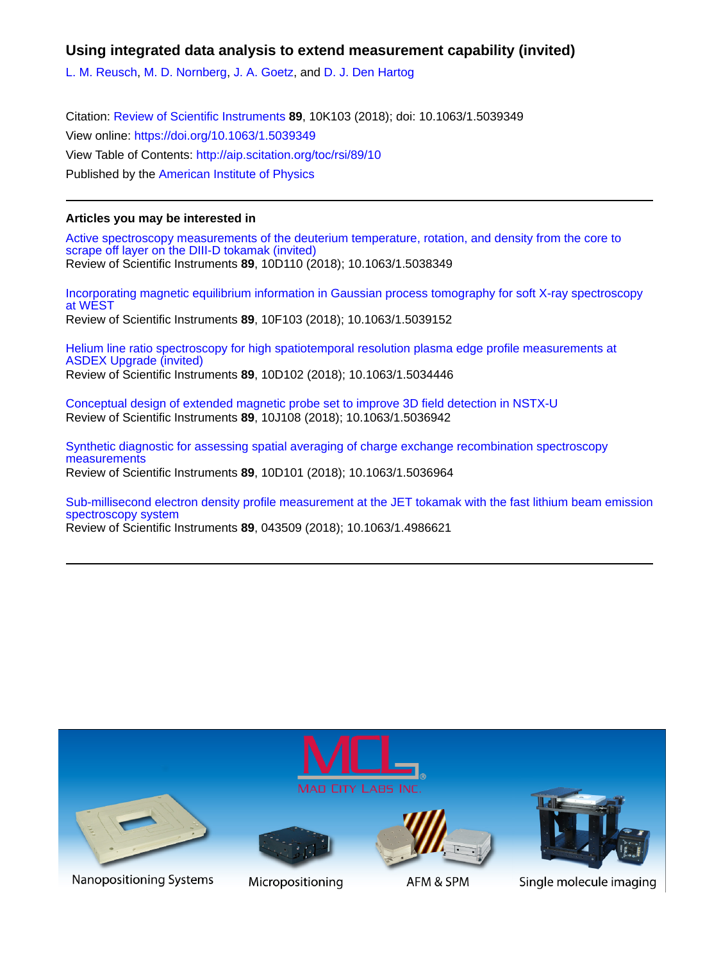## **Using integrated data analysis to extend measurement capability (invited)**

[L. M. Reusch](http://aip.scitation.org/author/Reusch%2C+L+M), [M. D. Nornberg,](http://aip.scitation.org/author/Nornberg%2C+M+D) [J. A. Goetz,](http://aip.scitation.org/author/Goetz%2C+J+A) and [D. J. Den Hartog](http://aip.scitation.org/author/den+Hartog%2C+D+J)

Citation: [Review of Scientific Instruments](/loi/rsi) **89**, 10K103 (2018); doi: 10.1063/1.5039349 View online: <https://doi.org/10.1063/1.5039349> View Table of Contents: <http://aip.scitation.org/toc/rsi/89/10> Published by the [American Institute of Physics](http://aip.scitation.org/publisher/)

### **Articles you may be interested in**

[Active spectroscopy measurements of the deuterium temperature, rotation, and density from the core to](http://aip.scitation.org/doi/abs/10.1063/1.5038349) [scrape off layer on the DIII-D tokamak \(invited\)](http://aip.scitation.org/doi/abs/10.1063/1.5038349) Review of Scientific Instruments **89**, 10D110 (2018); 10.1063/1.5038349

[Incorporating magnetic equilibrium information in Gaussian process tomography for soft X-ray spectroscopy](http://aip.scitation.org/doi/abs/10.1063/1.5039152) [at WEST](http://aip.scitation.org/doi/abs/10.1063/1.5039152) Review of Scientific Instruments **89**, 10F103 (2018); 10.1063/1.5039152

[Helium line ratio spectroscopy for high spatiotemporal resolution plasma edge profile measurements at](http://aip.scitation.org/doi/abs/10.1063/1.5034446) [ASDEX Upgrade \(invited\)](http://aip.scitation.org/doi/abs/10.1063/1.5034446) Review of Scientific Instruments **89**, 10D102 (2018); 10.1063/1.5034446

[Conceptual design of extended magnetic probe set to improve 3D field detection in NSTX-U](http://aip.scitation.org/doi/abs/10.1063/1.5036942) Review of Scientific Instruments **89**, 10J108 (2018); 10.1063/1.5036942

[Synthetic diagnostic for assessing spatial averaging of charge exchange recombination spectroscopy](http://aip.scitation.org/doi/abs/10.1063/1.5036964) [measurements](http://aip.scitation.org/doi/abs/10.1063/1.5036964) Review of Scientific Instruments **89**, 10D101 (2018); 10.1063/1.5036964

[Sub-millisecond electron density profile measurement at the JET tokamak with the fast lithium beam emission](http://aip.scitation.org/doi/abs/10.1063/1.4986621) [spectroscopy system](http://aip.scitation.org/doi/abs/10.1063/1.4986621)

Review of Scientific Instruments **89**, 043509 (2018); 10.1063/1.4986621

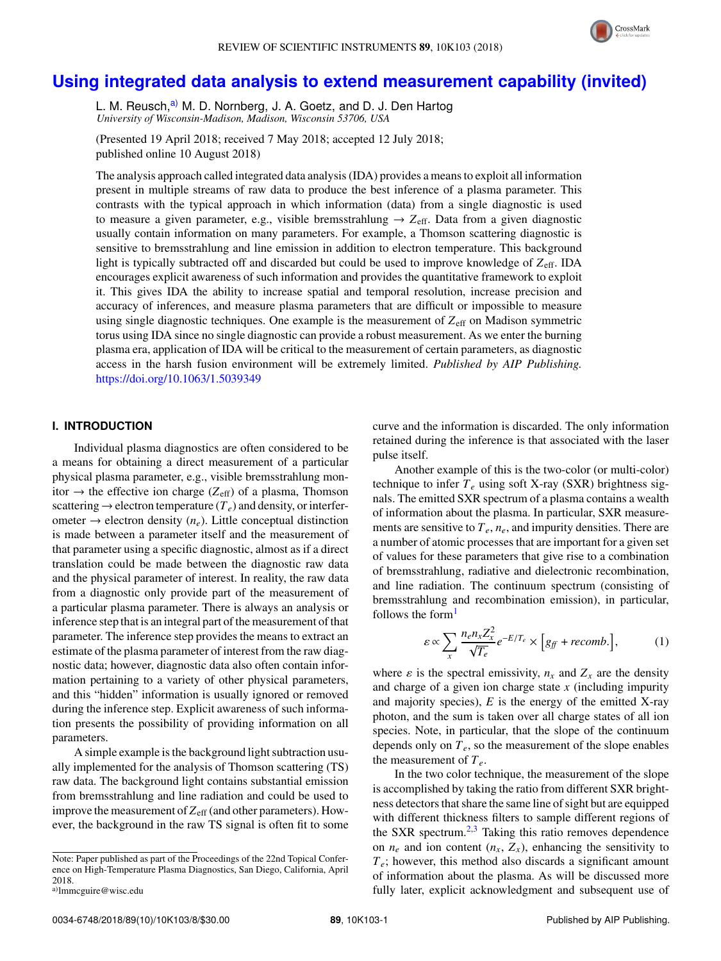

# **[Using integrated data analysis to extend measurement capability \(invited\)](https://doi.org/10.1063/1.5039349)**

L. M. Reusch,<sup>[a\)](#page-1-0)</sup> M. D. Nornberg, J. A. Goetz, and D. J. Den Hartog *University of Wisconsin-Madison, Madison, Wisconsin 53706, USA*

(Presented 19 April 2018; received 7 May 2018; accepted 12 July 2018; published online 10 August 2018)

The analysis approach called integrated data analysis (IDA) provides a means to exploit all information present in multiple streams of raw data to produce the best inference of a plasma parameter. This contrasts with the typical approach in which information (data) from a single diagnostic is used to measure a given parameter, e.g., visible bremsstrahlung  $\rightarrow$   $Z_{\text{eff}}$ . Data from a given diagnostic usually contain information on many parameters. For example, a Thomson scattering diagnostic is sensitive to bremsstrahlung and line emission in addition to electron temperature. This background light is typically subtracted off and discarded but could be used to improve knowledge of  $Z_{\text{eff}}$ . IDA encourages explicit awareness of such information and provides the quantitative framework to exploit it. This gives IDA the ability to increase spatial and temporal resolution, increase precision and accuracy of inferences, and measure plasma parameters that are difficult or impossible to measure using single diagnostic techniques. One example is the measurement of  $Z_{\text{eff}}$  on Madison symmetric torus using IDA since no single diagnostic can provide a robust measurement. As we enter the burning plasma era, application of IDA will be critical to the measurement of certain parameters, as diagnostic access in the harsh fusion environment will be extremely limited. *Published by AIP Publishing.* <https://doi.org/10.1063/1.5039349>

#### <span id="page-1-1"></span>**I. INTRODUCTION**

Individual plasma diagnostics are often considered to be a means for obtaining a direct measurement of a particular physical plasma parameter, e.g., visible bremsstrahlung monitor  $\rightarrow$  the effective ion charge ( $Z_{\text{eff}}$ ) of a plasma, Thomson scattering  $\rightarrow$  electron temperature ( $T_e$ ) and density, or interferometer  $\rightarrow$  electron density  $(n_e)$ . Little conceptual distinction is made between a parameter itself and the measurement of that parameter using a specific diagnostic, almost as if a direct translation could be made between the diagnostic raw data and the physical parameter of interest. In reality, the raw data from a diagnostic only provide part of the measurement of a particular plasma parameter. There is always an analysis or inference step that is an integral part of the measurement of that parameter. The inference step provides the means to extract an estimate of the plasma parameter of interest from the raw diagnostic data; however, diagnostic data also often contain information pertaining to a variety of other physical parameters, and this "hidden" information is usually ignored or removed during the inference step. Explicit awareness of such information presents the possibility of providing information on all parameters.

A simple example is the background light subtraction usually implemented for the analysis of Thomson scattering (TS) raw data. The background light contains substantial emission from bremsstrahlung and line radiation and could be used to improve the measurement of  $Z_{\text{eff}}$  (and other parameters). However, the background in the raw TS signal is often fit to some curve and the information is discarded. The only information retained during the inference is that associated with the laser pulse itself.

Another example of this is the two-color (or multi-color) technique to infer  $T_e$  using soft X-ray (SXR) brightness signals. The emitted SXR spectrum of a plasma contains a wealth of information about the plasma. In particular, SXR measurements are sensitive to *Te*, *ne*, and impurity densities. There are a number of atomic processes that are important for a given set of values for these parameters that give rise to a combination of bremsstrahlung, radiative and dielectronic recombination, and line radiation. The continuum spectrum (consisting of bremsstrahlung and recombination emission), in particular, follows the form<sup>[1](#page-7-0)</sup>

<span id="page-1-2"></span>
$$
\varepsilon \propto \sum_{x} \frac{n_e n_x Z_x^2}{\sqrt{T_e}} e^{-E/T_e} \times \left[ g_{ff} + recomb. \right],
$$
 (1)

where  $\varepsilon$  is the spectral emissivity,  $n_x$  and  $Z_x$  are the density and charge of a given ion charge state *x* (including impurity and majority species),  $E$  is the energy of the emitted X-ray photon, and the sum is taken over all charge states of all ion species. Note, in particular, that the slope of the continuum depends only on *Te*, so the measurement of the slope enables the measurement of  $T_e$ .

In the two color technique, the measurement of the slope is accomplished by taking the ratio from different SXR brightness detectors that share the same line of sight but are equipped with different thickness filters to sample different regions of the SXR spectrum. $2.3$  $2.3$  Taking this ratio removes dependence on  $n_e$  and ion content  $(n_x, Z_x)$ , enhancing the sensitivity to  $T_e$ ; however, this method also discards a significant amount of information about the plasma. As will be discussed more fully later, explicit acknowledgment and subsequent use of

Note: Paper published as part of the Proceedings of the 22nd Topical Conference on High-Temperature Plasma Diagnostics, San Diego, California, April 2018.

<span id="page-1-0"></span>a)[lmmcguire@wisc.edu](mailto:lmmcguire@wisc.edu)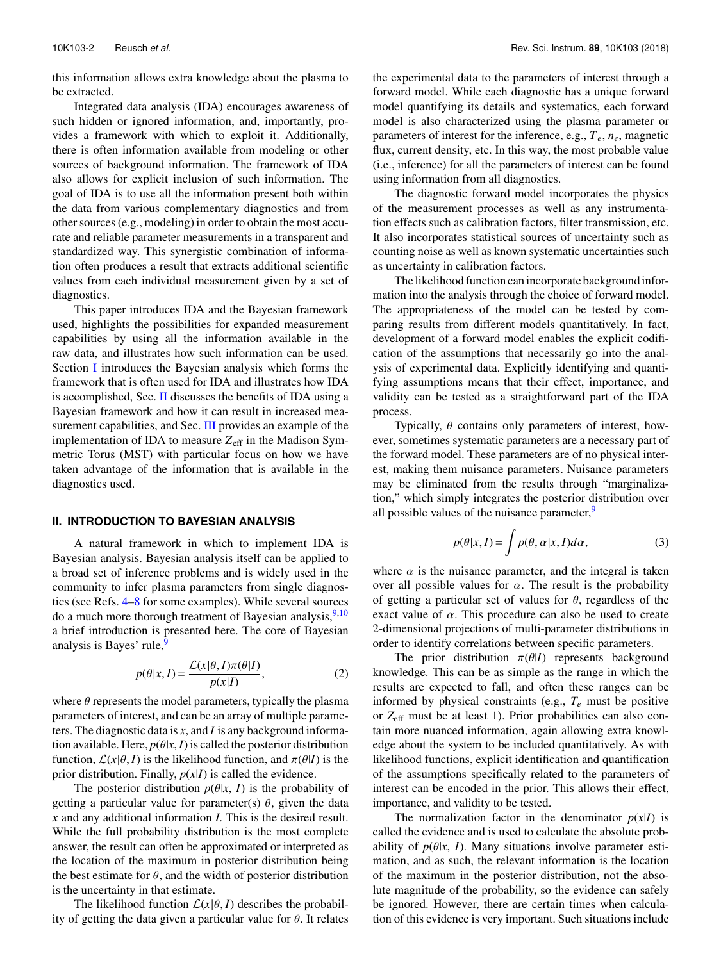this information allows extra knowledge about the plasma to be extracted.

Integrated data analysis (IDA) encourages awareness of such hidden or ignored information, and, importantly, provides a framework with which to exploit it. Additionally, there is often information available from modeling or other sources of background information. The framework of IDA also allows for explicit inclusion of such information. The goal of IDA is to use all the information present both within the data from various complementary diagnostics and from other sources (e.g., modeling) in order to obtain the most accurate and reliable parameter measurements in a transparent and standardized way. This synergistic combination of information often produces a result that extracts additional scientific values from each individual measurement given by a set of diagnostics.

This paper introduces IDA and the Bayesian framework used, highlights the possibilities for expanded measurement capabilities by using all the information available in the raw data, and illustrates how such information can be used. Section [I](#page-1-1) introduces the Bayesian analysis which forms the framework that is often used for IDA and illustrates how IDA is accomplished, Sec. [II](#page-2-0) discusses the benefits of IDA using a Bayesian framework and how it can result in increased mea-surement capabilities, and Sec. [III](#page-3-0) provides an example of the implementation of IDA to measure Z<sub>eff</sub> in the Madison Symmetric Torus (MST) with particular focus on how we have taken advantage of the information that is available in the diagnostics used.

#### <span id="page-2-0"></span>**II. INTRODUCTION TO BAYESIAN ANALYSIS**

A natural framework in which to implement IDA is Bayesian analysis. Bayesian analysis itself can be applied to a broad set of inference problems and is widely used in the community to infer plasma parameters from single diagnostics (see Refs. [4–](#page-7-3)[8](#page-7-4) for some examples). While several sources do a much more thorough treatment of Bayesian analysis,  $9,10$  $9,10$ a brief introduction is presented here. The core of Bayesian analysis is Bayes' rule,<sup>[9](#page-7-5)</sup>

$$
p(\theta|x, I) = \frac{\mathcal{L}(x|\theta, I)\pi(\theta|I)}{p(x|I)},
$$
\n(2)

where  $\theta$  represents the model parameters, typically the plasma parameters of interest, and can be an array of multiple parameters. The diagnostic data is *x*, and *I* is any background information available. Here,  $p(\theta|x, I)$  is called the posterior distribution function,  $\mathcal{L}(x|\theta, I)$  is the likelihood function, and  $\pi(\theta|I)$  is the prior distribution. Finally,  $p(x|I)$  is called the evidence.

The posterior distribution  $p(\theta|x, I)$  is the probability of getting a particular value for parameter(s)  $\theta$ , given the data *x* and any additional information *I*. This is the desired result. While the full probability distribution is the most complete answer, the result can often be approximated or interpreted as the location of the maximum in posterior distribution being the best estimate for  $\theta$ , and the width of posterior distribution is the uncertainty in that estimate.

The likelihood function  $\mathcal{L}(x|\theta, I)$  describes the probability of getting the data given a particular value for  $\theta$ . It relates the experimental data to the parameters of interest through a forward model. While each diagnostic has a unique forward model quantifying its details and systematics, each forward model is also characterized using the plasma parameter or parameters of interest for the inference, e.g., *Te*, *ne*, magnetic flux, current density, etc. In this way, the most probable value (i.e., inference) for all the parameters of interest can be found using information from all diagnostics.

The diagnostic forward model incorporates the physics of the measurement processes as well as any instrumentation effects such as calibration factors, filter transmission, etc. It also incorporates statistical sources of uncertainty such as counting noise as well as known systematic uncertainties such as uncertainty in calibration factors.

The likelihood function can incorporate background information into the analysis through the choice of forward model. The appropriateness of the model can be tested by comparing results from different models quantitatively. In fact, development of a forward model enables the explicit codification of the assumptions that necessarily go into the analysis of experimental data. Explicitly identifying and quantifying assumptions means that their effect, importance, and validity can be tested as a straightforward part of the IDA process.

Typically,  $\theta$  contains only parameters of interest, however, sometimes systematic parameters are a necessary part of the forward model. These parameters are of no physical interest, making them nuisance parameters. Nuisance parameters may be eliminated from the results through "marginalization," which simply integrates the posterior distribution over all possible values of the nuisance parameter, $9$ 

$$
p(\theta|x, I) = \int p(\theta, \alpha|x, I)d\alpha,
$$
 (3)

where  $\alpha$  is the nuisance parameter, and the integral is taken over all possible values for  $\alpha$ . The result is the probability of getting a particular set of values for  $\theta$ , regardless of the exact value of  $\alpha$ . This procedure can also be used to create 2-dimensional projections of multi-parameter distributions in order to identify correlations between specific parameters.

The prior distribution  $\pi(\theta|I)$  represents background knowledge. This can be as simple as the range in which the results are expected to fall, and often these ranges can be informed by physical constraints (e.g.,  $T_e$  must be positive or *Z*eff must be at least 1). Prior probabilities can also contain more nuanced information, again allowing extra knowledge about the system to be included quantitatively. As with likelihood functions, explicit identification and quantification of the assumptions specifically related to the parameters of interest can be encoded in the prior. This allows their effect, importance, and validity to be tested.

The normalization factor in the denominator  $p(x|I)$  is called the evidence and is used to calculate the absolute probability of  $p(\theta|x, I)$ . Many situations involve parameter estimation, and as such, the relevant information is the location of the maximum in the posterior distribution, not the absolute magnitude of the probability, so the evidence can safely be ignored. However, there are certain times when calculation of this evidence is very important. Such situations include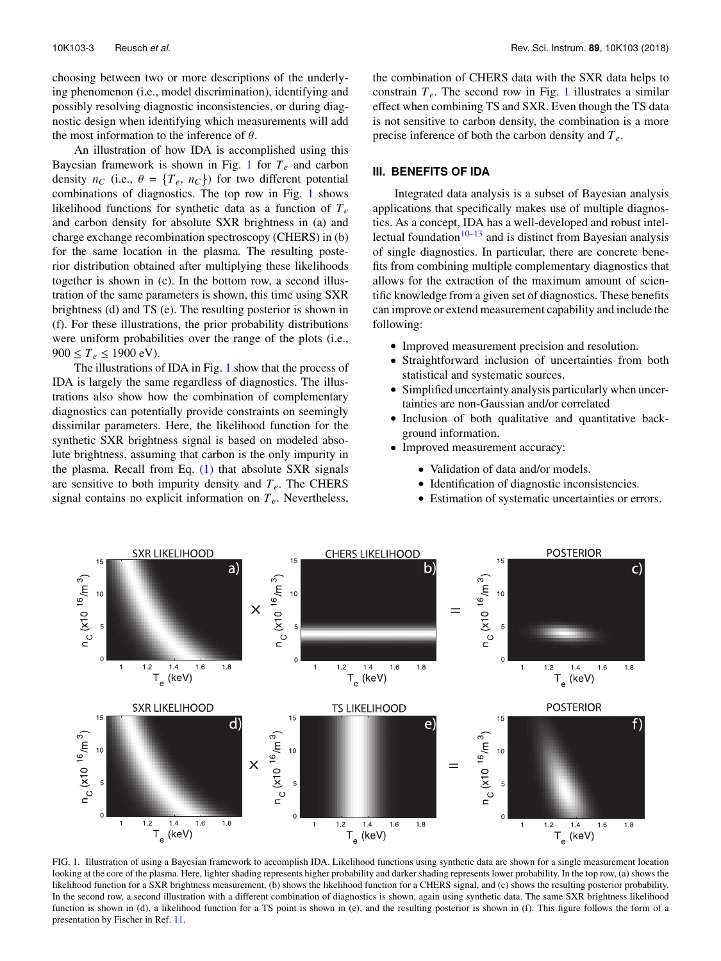choosing between two or more descriptions of the underlying phenomenon (i.e., model discrimination), identifying and possibly resolving diagnostic inconsistencies, or during diagnostic design when identifying which measurements will add the most information to the inference of  $\theta$ .

An illustration of how IDA is accomplished using this Bayesian framework is shown in Fig. [1](#page-3-1) for *T<sup>e</sup>* and carbon density  $n_C$  (i.e.,  $\theta = \{T_e, n_C\}$ ) for two different potential combinations of diagnostics. The top row in Fig. [1](#page-3-1) shows likelihood functions for synthetic data as a function of *T<sup>e</sup>* and carbon density for absolute SXR brightness in (a) and charge exchange recombination spectroscopy (CHERS) in (b) for the same location in the plasma. The resulting posterior distribution obtained after multiplying these likelihoods together is shown in (c). In the bottom row, a second illustration of the same parameters is shown, this time using SXR brightness (d) and TS (e). The resulting posterior is shown in (f). For these illustrations, the prior probability distributions were uniform probabilities over the range of the plots (i.e.,  $900 \le T_e \le 1900 \text{ eV}$ .

The illustrations of IDA in Fig. [1](#page-3-1) show that the process of IDA is largely the same regardless of diagnostics. The illustrations also show how the combination of complementary diagnostics can potentially provide constraints on seemingly dissimilar parameters. Here, the likelihood function for the synthetic SXR brightness signal is based on modeled absolute brightness, assuming that carbon is the only impurity in the plasma. Recall from Eq.  $(1)$  that absolute SXR signals are sensitive to both impurity density and *Te*. The CHERS signal contains no explicit information on *Te*. Nevertheless,

the combination of CHERS data with the SXR data helps to constrain  $T_e$ . The second row in Fig. [1](#page-3-1) illustrates a similar effect when combining TS and SXR. Even though the TS data is not sensitive to carbon density, the combination is a more precise inference of both the carbon density and *Te*.

#### <span id="page-3-0"></span>**III. BENEFITS OF IDA**

Integrated data analysis is a subset of Bayesian analysis applications that specifically makes use of multiple diagnostics. As a concept, IDA has a well-developed and robust intellectual foundation $10-13$  $10-13$  and is distinct from Bayesian analysis of single diagnostics. In particular, there are concrete benefits from combining multiple complementary diagnostics that allows for the extraction of the maximum amount of scientific knowledge from a given set of diagnostics. These benefits can improve or extend measurement capability and include the following:

- Improved measurement precision and resolution.
- Straightforward inclusion of uncertainties from both statistical and systematic sources.
- Simplified uncertainty analysis particularly when uncertainties are non-Gaussian and/or correlated
- Inclusion of both qualitative and quantitative background information.
- Improved measurement accuracy:
	- Validation of data and/or models.
	- Identification of diagnostic inconsistencies.
	- Estimation of systematic uncertainties or errors.

<span id="page-3-1"></span>

FIG. 1. Illustration of using a Bayesian framework to accomplish IDA. Likelihood functions using synthetic data are shown for a single measurement location looking at the core of the plasma. Here, lighter shading represents higher probability and darker shading represents lower probability. In the top row, (a) shows the likelihood function for a SXR brightness measurement, (b) shows the likelihood function for a CHERS signal, and (c) shows the resulting posterior probability. In the second row, a second illustration with a different combination of diagnostics is shown, again using synthetic data. The same SXR brightness likelihood function is shown in (d), a likelihood function for a TS point is shown in (e), and the resulting posterior is shown in (f). This figure follows the form of a presentation by Fischer in Ref. [11.](#page-7-7)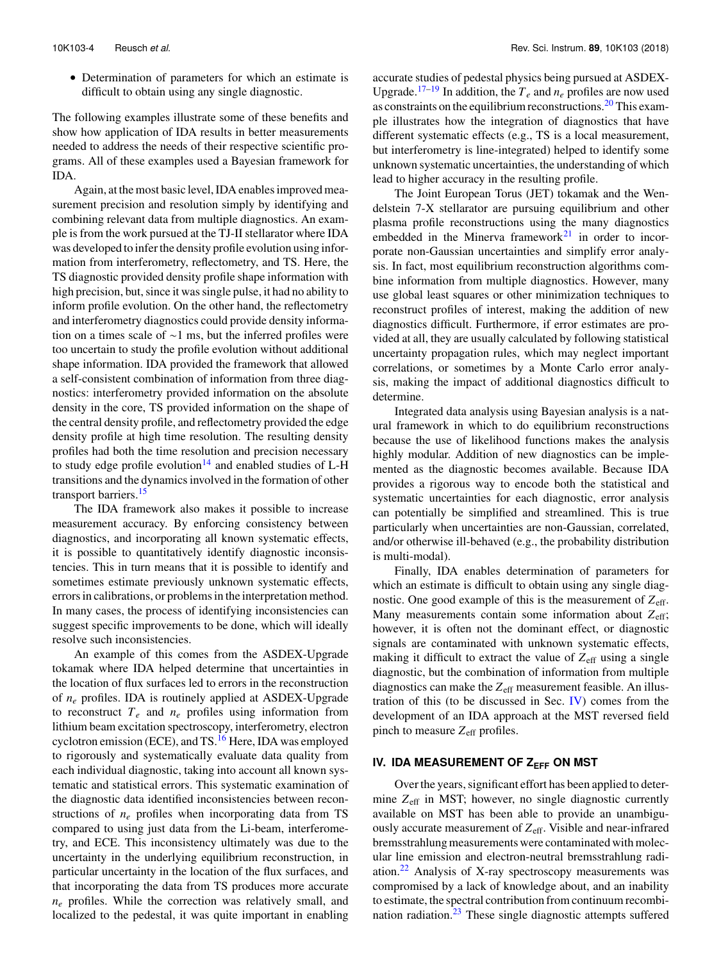• Determination of parameters for which an estimate is difficult to obtain using any single diagnostic.

The following examples illustrate some of these benefits and show how application of IDA results in better measurements needed to address the needs of their respective scientific programs. All of these examples used a Bayesian framework for IDA.

Again, at the most basic level, IDA enables improved measurement precision and resolution simply by identifying and combining relevant data from multiple diagnostics. An example is from the work pursued at the TJ-II stellarator where IDA was developed to infer the density profile evolution using information from interferometry, reflectometry, and TS. Here, the TS diagnostic provided density profile shape information with high precision, but, since it was single pulse, it had no ability to inform profile evolution. On the other hand, the reflectometry and interferometry diagnostics could provide density information on a times scale of ∼1 ms, but the inferred profiles were too uncertain to study the profile evolution without additional shape information. IDA provided the framework that allowed a self-consistent combination of information from three diagnostics: interferometry provided information on the absolute density in the core, TS provided information on the shape of the central density profile, and reflectometry provided the edge density profile at high time resolution. The resulting density profiles had both the time resolution and precision necessary to study edge profile evolution<sup>[14](#page-8-1)</sup> and enabled studies of L-H transitions and the dynamics involved in the formation of other transport barriers.<sup>[15](#page-8-2)</sup>

The IDA framework also makes it possible to increase measurement accuracy. By enforcing consistency between diagnostics, and incorporating all known systematic effects, it is possible to quantitatively identify diagnostic inconsistencies. This in turn means that it is possible to identify and sometimes estimate previously unknown systematic effects, errors in calibrations, or problems in the interpretation method. In many cases, the process of identifying inconsistencies can suggest specific improvements to be done, which will ideally resolve such inconsistencies.

An example of this comes from the ASDEX-Upgrade tokamak where IDA helped determine that uncertainties in the location of flux surfaces led to errors in the reconstruction of *n<sup>e</sup>* profiles. IDA is routinely applied at ASDEX-Upgrade to reconstruct  $T_e$  and  $n_e$  profiles using information from lithium beam excitation spectroscopy, interferometry, electron cyclotron emission (ECE), and TS.<sup>[16](#page-8-3)</sup> Here, IDA was employed to rigorously and systematically evaluate data quality from each individual diagnostic, taking into account all known systematic and statistical errors. This systematic examination of the diagnostic data identified inconsistencies between reconstructions of *n<sup>e</sup>* profiles when incorporating data from TS compared to using just data from the Li-beam, interferometry, and ECE. This inconsistency ultimately was due to the uncertainty in the underlying equilibrium reconstruction, in particular uncertainty in the location of the flux surfaces, and that incorporating the data from TS produces more accurate  $n_e$  profiles. While the correction was relatively small, and localized to the pedestal, it was quite important in enabling accurate studies of pedestal physics being pursued at ASDEX-Upgrade.<sup>[17](#page-8-4)[–19](#page-8-5)</sup> In addition, the  $T_e$  and  $n_e$  profiles are now used as constraints on the equilibrium reconstructions.<sup>[20](#page-8-6)</sup> This example illustrates how the integration of diagnostics that have different systematic effects (e.g., TS is a local measurement, but interferometry is line-integrated) helped to identify some unknown systematic uncertainties, the understanding of which lead to higher accuracy in the resulting profile.

The Joint European Torus (JET) tokamak and the Wendelstein 7-X stellarator are pursuing equilibrium and other plasma profile reconstructions using the many diagnostics embedded in the Minerva framework $2<sup>1</sup>$  in order to incorporate non-Gaussian uncertainties and simplify error analysis. In fact, most equilibrium reconstruction algorithms combine information from multiple diagnostics. However, many use global least squares or other minimization techniques to reconstruct profiles of interest, making the addition of new diagnostics difficult. Furthermore, if error estimates are provided at all, they are usually calculated by following statistical uncertainty propagation rules, which may neglect important correlations, or sometimes by a Monte Carlo error analysis, making the impact of additional diagnostics difficult to determine.

Integrated data analysis using Bayesian analysis is a natural framework in which to do equilibrium reconstructions because the use of likelihood functions makes the analysis highly modular. Addition of new diagnostics can be implemented as the diagnostic becomes available. Because IDA provides a rigorous way to encode both the statistical and systematic uncertainties for each diagnostic, error analysis can potentially be simplified and streamlined. This is true particularly when uncertainties are non-Gaussian, correlated, and/or otherwise ill-behaved (e.g., the probability distribution is multi-modal).

Finally, IDA enables determination of parameters for which an estimate is difficult to obtain using any single diagnostic. One good example of this is the measurement of *Z*eff. Many measurements contain some information about  $Z_{\text{eff}}$ ; however, it is often not the dominant effect, or diagnostic signals are contaminated with unknown systematic effects, making it difficult to extract the value of  $Z_{\text{eff}}$  using a single diagnostic, but the combination of information from multiple diagnostics can make the *Z*eff measurement feasible. An illustration of this (to be discussed in Sec. [IV\)](#page-4-0) comes from the development of an IDA approach at the MST reversed field pinch to measure  $Z_{\text{eff}}$  profiles.

## <span id="page-4-0"></span>**IV. IDA MEASUREMENT OF Z<sub>EFF</sub> ON MST**

Over the years, significant effort has been applied to determine *Z*eff in MST; however, no single diagnostic currently available on MST has been able to provide an unambiguously accurate measurement of Z<sub>eff</sub>. Visible and near-infrared bremsstrahlung measurements were contaminated with molecular line emission and electron-neutral bremsstrahlung radiation. $22$  Analysis of X-ray spectroscopy measurements was compromised by a lack of knowledge about, and an inability to estimate, the spectral contribution from continuum recombination radiation. $23$  These single diagnostic attempts suffered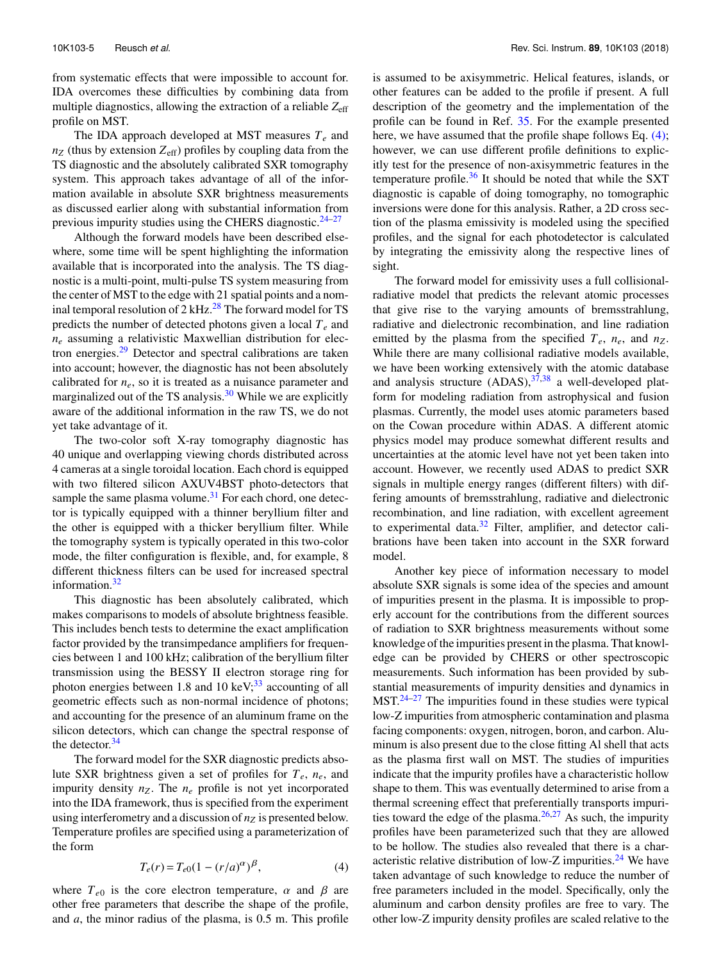from systematic effects that were impossible to account for. IDA overcomes these difficulties by combining data from multiple diagnostics, allowing the extraction of a reliable *Z*eff profile on MST.

The IDA approach developed at MST measures *T<sup>e</sup>* and  $n_Z$  (thus by extension  $Z_{\text{eff}}$ ) profiles by coupling data from the TS diagnostic and the absolutely calibrated SXR tomography system. This approach takes advantage of all of the information available in absolute SXR brightness measurements as discussed earlier along with substantial information from previous impurity studies using the CHERS diagnostic. $24-27$  $24-27$ 

Although the forward models have been described elsewhere, some time will be spent highlighting the information available that is incorporated into the analysis. The TS diagnostic is a multi-point, multi-pulse TS system measuring from the center of MST to the edge with 21 spatial points and a nominal temporal resolution of  $2 \text{ kHz}^{28}$  $2 \text{ kHz}^{28}$  $2 \text{ kHz}^{28}$  The forward model for TS predicts the number of detected photons given a local *T<sup>e</sup>* and  $n_e$  assuming a relativistic Maxwellian distribution for elec-tron energies.<sup>[29](#page-8-13)</sup> Detector and spectral calibrations are taken into account; however, the diagnostic has not been absolutely calibrated for *ne*, so it is treated as a nuisance parameter and marginalized out of the TS analysis. $30$  While we are explicitly aware of the additional information in the raw TS, we do not yet take advantage of it.

The two-color soft X-ray tomography diagnostic has 40 unique and overlapping viewing chords distributed across 4 cameras at a single toroidal location. Each chord is equipped with two filtered silicon AXUV4BST photo-detectors that sample the same plasma volume. $31$  For each chord, one detector is typically equipped with a thinner beryllium filter and the other is equipped with a thicker beryllium filter. While the tomography system is typically operated in this two-color mode, the filter configuration is flexible, and, for example, 8 different thickness filters can be used for increased spectral information. $32$ 

This diagnostic has been absolutely calibrated, which makes comparisons to models of absolute brightness feasible. This includes bench tests to determine the exact amplification factor provided by the transimpedance amplifiers for frequencies between 1 and 100 kHz; calibration of the beryllium filter transmission using the BESSY II electron storage ring for photon energies between 1.8 and 10 keV; $^{33}$  $^{33}$  $^{33}$  accounting of all geometric effects such as non-normal incidence of photons; and accounting for the presence of an aluminum frame on the silicon detectors, which can change the spectral response of the detector. $34$ 

The forward model for the SXR diagnostic predicts absolute SXR brightness given a set of profiles for *Te*, *ne*, and impurity density  $n_Z$ . The  $n_e$  profile is not yet incorporated into the IDA framework, thus is specified from the experiment using interferometry and a discussion of *n<sup>Z</sup>* is presented below. Temperature profiles are specified using a parameterization of the form

<span id="page-5-0"></span>
$$
T_e(r) = T_{e0}(1 - (r/a)^{\alpha})^{\beta},
$$
 (4)

where  $T_{e0}$  is the core electron temperature,  $\alpha$  and  $\beta$  are other free parameters that describe the shape of the profile, and *a*, the minor radius of the plasma, is 0.5 m. This profile

is assumed to be axisymmetric. Helical features, islands, or other features can be added to the profile if present. A full description of the geometry and the implementation of the profile can be found in Ref. [35.](#page-8-19) For the example presented here, we have assumed that the profile shape follows Eq. [\(4\);](#page-5-0) however, we can use different profile definitions to explicitly test for the presence of non-axisymmetric features in the temperature profile. $36$  It should be noted that while the SXT diagnostic is capable of doing tomography, no tomographic inversions were done for this analysis. Rather, a 2D cross section of the plasma emissivity is modeled using the specified profiles, and the signal for each photodetector is calculated by integrating the emissivity along the respective lines of sight.

The forward model for emissivity uses a full collisionalradiative model that predicts the relevant atomic processes that give rise to the varying amounts of bremsstrahlung, radiative and dielectronic recombination, and line radiation emitted by the plasma from the specified  $T_e$ ,  $n_e$ , and  $n_Z$ . While there are many collisional radiative models available, we have been working extensively with the atomic database and analysis structure  $(ADAS)$ ,  $37,38$  $37,38$  a well-developed platform for modeling radiation from astrophysical and fusion plasmas. Currently, the model uses atomic parameters based on the Cowan procedure within ADAS. A different atomic physics model may produce somewhat different results and uncertainties at the atomic level have not yet been taken into account. However, we recently used ADAS to predict SXR signals in multiple energy ranges (different filters) with differing amounts of bremsstrahlung, radiative and dielectronic recombination, and line radiation, with excellent agreement to experimental data.<sup>[32](#page-8-16)</sup> Filter, amplifier, and detector calibrations have been taken into account in the SXR forward model.

Another key piece of information necessary to model absolute SXR signals is some idea of the species and amount of impurities present in the plasma. It is impossible to properly account for the contributions from the different sources of radiation to SXR brightness measurements without some knowledge of the impurities present in the plasma. That knowledge can be provided by CHERS or other spectroscopic measurements. Such information has been provided by substantial measurements of impurity densities and dynamics in  $MST<sup>24-27</sup>$  $MST<sup>24-27</sup>$  $MST<sup>24-27</sup>$  The impurities found in these studies were typical low-Z impurities from atmospheric contamination and plasma facing components: oxygen, nitrogen, boron, and carbon. Aluminum is also present due to the close fitting Al shell that acts as the plasma first wall on MST. The studies of impurities indicate that the impurity profiles have a characteristic hollow shape to them. This was eventually determined to arise from a thermal screening effect that preferentially transports impurities toward the edge of the plasma. $26,27$  $26,27$  As such, the impurity profiles have been parameterized such that they are allowed to be hollow. The studies also revealed that there is a char-acteristic relative distribution of low-Z impurities.<sup>[24](#page-8-10)</sup> We have taken advantage of such knowledge to reduce the number of free parameters included in the model. Specifically, only the aluminum and carbon density profiles are free to vary. The other low-Z impurity density profiles are scaled relative to the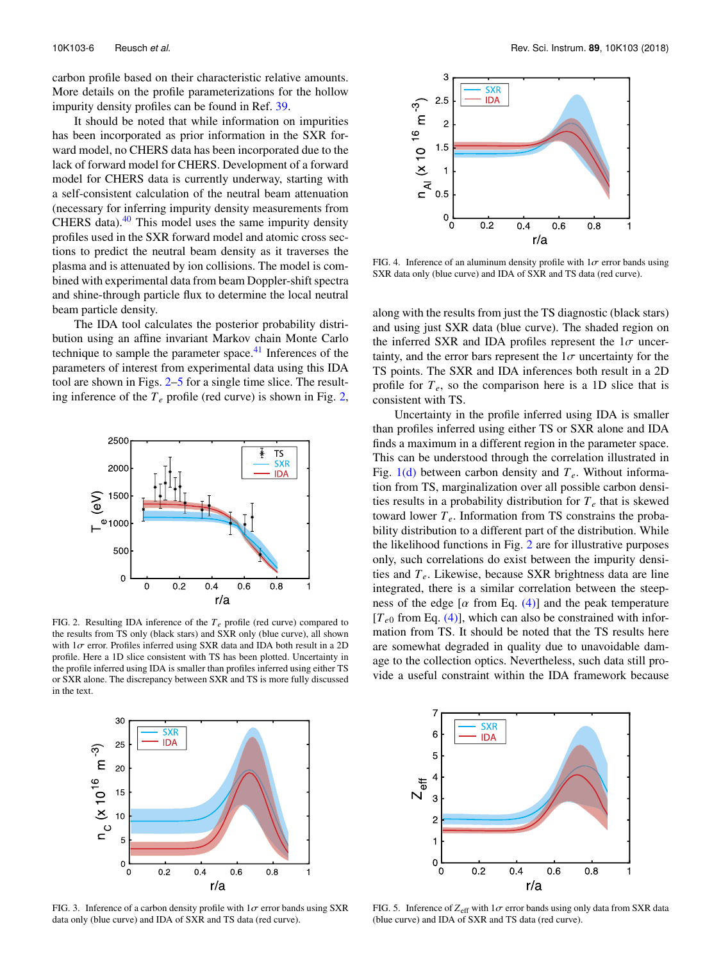carbon profile based on their characteristic relative amounts. More details on the profile parameterizations for the hollow impurity density profiles can be found in Ref. [39.](#page-8-24)

It should be noted that while information on impurities has been incorporated as prior information in the SXR forward model, no CHERS data has been incorporated due to the lack of forward model for CHERS. Development of a forward model for CHERS data is currently underway, starting with a self-consistent calculation of the neutral beam attenuation (necessary for inferring impurity density measurements from CHERS data). $40$  This model uses the same impurity density profiles used in the SXR forward model and atomic cross sections to predict the neutral beam density as it traverses the plasma and is attenuated by ion collisions. The model is combined with experimental data from beam Doppler-shift spectra and shine-through particle flux to determine the local neutral beam particle density.

The IDA tool calculates the posterior probability distribution using an affine invariant Markov chain Monte Carlo technique to sample the parameter space. $41$  Inferences of the parameters of interest from experimental data using this IDA tool are shown in Figs. [2](#page-6-0)[–5](#page-6-1) for a single time slice. The resulting inference of the  $T_e$  profile (red curve) is shown in Fig. [2,](#page-6-0)

<span id="page-6-0"></span>

FIG. 2. Resulting IDA inference of the *Te* profile (red curve) compared to the results from TS only (black stars) and SXR only (blue curve), all shown with  $1\sigma$  error. Profiles inferred using SXR data and IDA both result in a 2D profile. Here a 1D slice consistent with TS has been plotted. Uncertainty in the profile inferred using IDA is smaller than profiles inferred using either TS or SXR alone. The discrepancy between SXR and TS is more fully discussed in the text.

<span id="page-6-3"></span>

FIG. 4. Inference of an aluminum density profile with  $1\sigma$  error bands using SXR data only (blue curve) and IDA of SXR and TS data (red curve).

along with the results from just the TS diagnostic (black stars) and using just SXR data (blue curve). The shaded region on the inferred SXR and IDA profiles represent the  $1\sigma$  uncertainty, and the error bars represent the  $1\sigma$  uncertainty for the TS points. The SXR and IDA inferences both result in a 2D profile for  $T_e$ , so the comparison here is a 1D slice that is consistent with TS.

Uncertainty in the profile inferred using IDA is smaller than profiles inferred using either TS or SXR alone and IDA finds a maximum in a different region in the parameter space. This can be understood through the correlation illustrated in Fig. [1\(d\)](#page-3-1) between carbon density and *Te*. Without information from TS, marginalization over all possible carbon densities results in a probability distribution for  $T_e$  that is skewed toward lower  $T_e$ . Information from TS constrains the probability distribution to a different part of the distribution. While the likelihood functions in Fig. [2](#page-6-0) are for illustrative purposes only, such correlations do exist between the impurity densities and *Te*. Likewise, because SXR brightness data are line integrated, there is a similar correlation between the steepness of the edge [ $\alpha$  from Eq. [\(4\)\]](#page-5-0) and the peak temperature  $[T_{e0}$  from Eq. [\(4\)\]](#page-5-0), which can also be constrained with information from TS. It should be noted that the TS results here are somewhat degraded in quality due to unavoidable damage to the collection optics. Nevertheless, such data still provide a useful constraint within the IDA framework because

<span id="page-6-2"></span>

FIG. 3. Inference of a carbon density profile with  $1\sigma$  error bands using SXR data only (blue curve) and IDA of SXR and TS data (red curve).

<span id="page-6-1"></span>

FIG. 5. Inference of  $Z_{\text{eff}}$  with  $1\sigma$  error bands using only data from SXR data (blue curve) and IDA of SXR and TS data (red curve).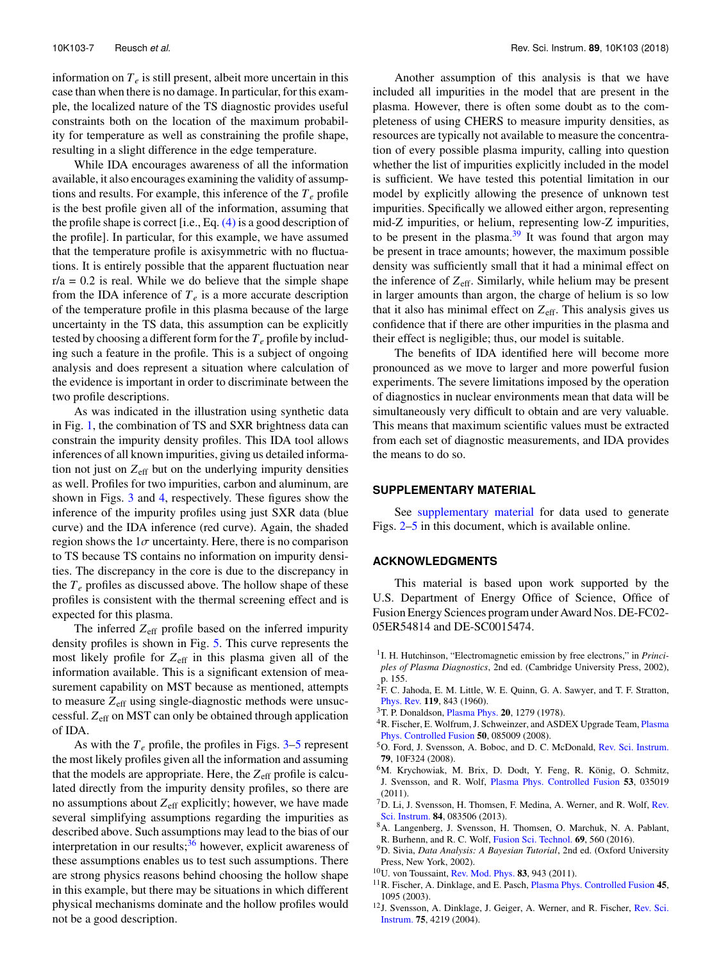information on  $T_e$  is still present, albeit more uncertain in this case than when there is no damage. In particular, for this example, the localized nature of the TS diagnostic provides useful constraints both on the location of the maximum probability for temperature as well as constraining the profile shape, resulting in a slight difference in the edge temperature.

While IDA encourages awareness of all the information available, it also encourages examining the validity of assumptions and results. For example, this inference of the *T<sup>e</sup>* profile is the best profile given all of the information, assuming that the profile shape is correct [i.e., Eq.  $(4)$  is a good description of the profile]. In particular, for this example, we have assumed that the temperature profile is axisymmetric with no fluctuations. It is entirely possible that the apparent fluctuation near  $r/a = 0.2$  is real. While we do believe that the simple shape from the IDA inference of  $T_e$  is a more accurate description of the temperature profile in this plasma because of the large uncertainty in the TS data, this assumption can be explicitly tested by choosing a different form for the *T<sup>e</sup>* profile by including such a feature in the profile. This is a subject of ongoing analysis and does represent a situation where calculation of the evidence is important in order to discriminate between the two profile descriptions.

As was indicated in the illustration using synthetic data in Fig. [1,](#page-3-1) the combination of TS and SXR brightness data can constrain the impurity density profiles. This IDA tool allows inferences of all known impurities, giving us detailed information not just on  $Z_{\text{eff}}$  but on the underlying impurity densities as well. Profiles for two impurities, carbon and aluminum, are shown in Figs. [3](#page-6-2) and [4,](#page-6-3) respectively. These figures show the inference of the impurity profiles using just SXR data (blue curve) and the IDA inference (red curve). Again, the shaded region shows the  $1\sigma$  uncertainty. Here, there is no comparison to TS because TS contains no information on impurity densities. The discrepancy in the core is due to the discrepancy in the  $T_e$  profiles as discussed above. The hollow shape of these profiles is consistent with the thermal screening effect and is expected for this plasma.

The inferred  $Z_{\text{eff}}$  profile based on the inferred impurity density profiles is shown in Fig. [5.](#page-6-1) This curve represents the most likely profile for Z<sub>eff</sub> in this plasma given all of the information available. This is a significant extension of measurement capability on MST because as mentioned, attempts to measure  $Z_{\text{eff}}$  using single-diagnostic methods were unsuccessful. *Z*eff on MST can only be obtained through application of IDA.

As with the  $T_e$  profile, the profiles in Figs.  $3-5$  $3-5$  represent the most likely profiles given all the information and assuming that the models are appropriate. Here, the  $Z_{\text{eff}}$  profile is calculated directly from the impurity density profiles, so there are no assumptions about  $Z_{\text{eff}}$  explicitly; however, we have made several simplifying assumptions regarding the impurities as described above. Such assumptions may lead to the bias of our interpretation in our results; $36$  however, explicit awareness of these assumptions enables us to test such assumptions. There are strong physics reasons behind choosing the hollow shape in this example, but there may be situations in which different physical mechanisms dominate and the hollow profiles would not be a good description.

Another assumption of this analysis is that we have included all impurities in the model that are present in the plasma. However, there is often some doubt as to the completeness of using CHERS to measure impurity densities, as resources are typically not available to measure the concentration of every possible plasma impurity, calling into question whether the list of impurities explicitly included in the model is sufficient. We have tested this potential limitation in our model by explicitly allowing the presence of unknown test impurities. Specifically we allowed either argon, representing mid-Z impurities, or helium, representing low-Z impurities, to be present in the plasma. $39$  It was found that argon may be present in trace amounts; however, the maximum possible density was sufficiently small that it had a minimal effect on the inference of *Z*eff. Similarly, while helium may be present in larger amounts than argon, the charge of helium is so low that it also has minimal effect on *Z*eff. This analysis gives us confidence that if there are other impurities in the plasma and their effect is negligible; thus, our model is suitable.

The benefits of IDA identified here will become more pronounced as we move to larger and more powerful fusion experiments. The severe limitations imposed by the operation of diagnostics in nuclear environments mean that data will be simultaneously very difficult to obtain and are very valuable. This means that maximum scientific values must be extracted from each set of diagnostic measurements, and IDA provides the means to do so.

#### **SUPPLEMENTARY MATERIAL**

See [supplementary material](ftp://ftp.aip.org/epaps/rev_sci_instrum/E-RSINAK-89-053893) for data used to generate Figs. [2](#page-6-0)[–5](#page-6-1) in this document, which is available online.

#### **ACKNOWLEDGMENTS**

This material is based upon work supported by the U.S. Department of Energy Office of Science, Office of Fusion Energy Sciences program under Award Nos. DE-FC02- 05ER54814 and DE-SC0015474.

- <span id="page-7-0"></span><sup>1</sup>I. H. Hutchinson, "Electromagnetic emission by free electrons," in *Principles of Plasma Diagnostics*, 2nd ed. (Cambridge University Press, 2002), p. 155.
- <span id="page-7-1"></span><sup>2</sup>F. C. Jahoda, E. M. Little, W. E. Quinn, G. A. Sawyer, and T. F. Stratton, [Phys. Rev.](https://doi.org/10.1103/physrev.119.843) **119**, 843 (1960).
- <span id="page-7-2"></span><sup>3</sup>T. P. Donaldson, [Plasma Phys.](https://doi.org/10.1088/0032-1028/20/12/005) **20**, 1279 (1978).
- <span id="page-7-3"></span><sup>4</sup>R. Fischer, E. Wolfrum, J. Schweinzer, and ASDEX Upgrade Team, [Plasma](https://doi.org/10.1088/0741-3335/50/8/085009) [Phys. Controlled Fusion](https://doi.org/10.1088/0741-3335/50/8/085009) **50**, 085009 (2008).
- <sup>5</sup>O. Ford, J. Svensson, A. Boboc, and D. C. McDonald, [Rev. Sci. Instrum.](https://doi.org/10.1063/1.2956880) **79**, 10F324 (2008).
- <sup>6</sup>M. Krychowiak, M. Brix, D. Dodt, Y. Feng, R. König, O. Schmitz, J. Svensson, and R. Wolf, [Plasma Phys. Controlled Fusion](https://doi.org/10.1088/0741-3335/53/3/035019) **53**, 035019 (2011).
- <sup>7</sup>D. Li, J. Svensson, H. Thomsen, F. Medina, A. Werner, and R. Wolf, [Rev.](https://doi.org/10.1063/1.4817591) [Sci. Instrum.](https://doi.org/10.1063/1.4817591) **84**, 083506 (2013).
- <span id="page-7-4"></span><sup>8</sup>A. Langenberg, J. Svensson, H. Thomsen, O. Marchuk, N. A. Pablant, R. Burhenn, and R. C. Wolf, [Fusion Sci. Technol.](https://doi.org/10.13182/fst15-181) **69**, 560 (2016).
- <span id="page-7-5"></span><sup>9</sup>D. Sivia, *Data Analysis: A Bayesian Tutorial*, 2nd ed. (Oxford University Press, New York, 2002).
- <span id="page-7-6"></span><sup>10</sup>U. von Toussaint, [Rev. Mod. Phys.](https://doi.org/10.1103/revmodphys.83.943) **83**, 943 (2011).
- <span id="page-7-7"></span><sup>11</sup>R. Fischer, A. Dinklage, and E. Pasch, [Plasma Phys. Controlled Fusion](https://doi.org/10.1088/0741-3335/45/7/304) **45**, 1095 (2003).
- <sup>12</sup>J. Svensson, A. Dinklage, J. Geiger, A. Werner, and R. Fischer, [Rev. Sci.](https://doi.org/10.1063/1.1789611) [Instrum.](https://doi.org/10.1063/1.1789611) **75**, 4219 (2004).